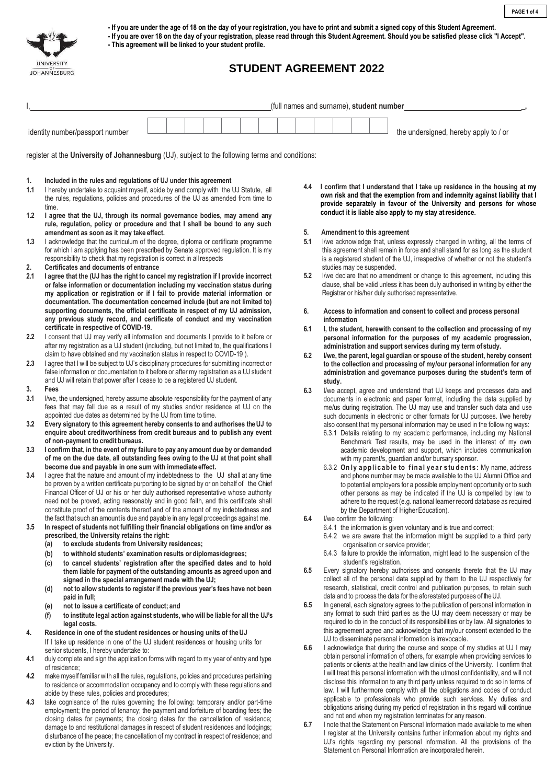

eviction by the University.

**- If you are under the age of 18 on the day of your registration, you have to print and submit a signed copy of this Student Agreement.**

**- If you are over 18 on the day of your registration, please read through this Student Agreement. Should you be satisfied please click "I Accept".**

**- This agreement will be linked to your student profile.**

# **STUDENT AGREEMENT 2022**

|                  |                                                                                                                                                                                                                                                                                                                                      |  |  |  |  |  | (full names and surname), student number |     |                                                                                                                                                                                                                 |                                                                      |                         |  |  |  |                                   |                                                    |  |                                                                   |                                                                                                                                                                      |
|------------------|--------------------------------------------------------------------------------------------------------------------------------------------------------------------------------------------------------------------------------------------------------------------------------------------------------------------------------------|--|--|--|--|--|------------------------------------------|-----|-----------------------------------------------------------------------------------------------------------------------------------------------------------------------------------------------------------------|----------------------------------------------------------------------|-------------------------|--|--|--|-----------------------------------|----------------------------------------------------|--|-------------------------------------------------------------------|----------------------------------------------------------------------------------------------------------------------------------------------------------------------|
|                  |                                                                                                                                                                                                                                                                                                                                      |  |  |  |  |  |                                          |     |                                                                                                                                                                                                                 |                                                                      |                         |  |  |  |                                   |                                                    |  |                                                                   |                                                                                                                                                                      |
|                  | identity number/passport number                                                                                                                                                                                                                                                                                                      |  |  |  |  |  |                                          |     |                                                                                                                                                                                                                 |                                                                      |                         |  |  |  |                                   |                                                    |  | the undersigned, hereby apply to / or                             |                                                                                                                                                                      |
|                  | register at the University of Johannesburg (UJ), subject to the following terms and conditions:                                                                                                                                                                                                                                      |  |  |  |  |  |                                          |     |                                                                                                                                                                                                                 |                                                                      |                         |  |  |  |                                   |                                                    |  |                                                                   |                                                                                                                                                                      |
| 1.<br>1.1        | Included in the rules and regulations of UJ under this agreement                                                                                                                                                                                                                                                                     |  |  |  |  |  |                                          | 4.4 |                                                                                                                                                                                                                 |                                                                      |                         |  |  |  |                                   |                                                    |  |                                                                   | I confirm that I understand that I take up residence in the housing at my                                                                                            |
|                  | I hereby undertake to acquaint myself, abide by and comply with the UJ Statute, all<br>the rules, regulations, policies and procedures of the UJ as amended from time to<br>time.<br>I agree that the UJ, through its normal governance bodies, may amend any                                                                        |  |  |  |  |  |                                          |     | own risk and that the exemption from and indemnity against liability that I<br>provide separately in favour of the University and persons for whose<br>conduct it is liable also apply to my stay at residence. |                                                                      |                         |  |  |  |                                   |                                                    |  |                                                                   |                                                                                                                                                                      |
| 1.2              | rule, regulation, policy or procedure and that I shall be bound to any such                                                                                                                                                                                                                                                          |  |  |  |  |  |                                          | 5.  |                                                                                                                                                                                                                 | Amendment to this agreement                                          |                         |  |  |  |                                   |                                                    |  |                                                                   |                                                                                                                                                                      |
| 1.3              | amendment as soon as it may take effect.<br>I acknowledge that the curriculum of the degree, diploma or certificate programme                                                                                                                                                                                                        |  |  |  |  |  |                                          | 5.1 |                                                                                                                                                                                                                 |                                                                      |                         |  |  |  |                                   |                                                    |  |                                                                   | I/we acknowledge that, unless expressly changed in writing, all the terms of                                                                                         |
|                  | for which I am applying has been prescribed by Senate approved regulation. It is my<br>responsibility to check that my registration is correct in all respects                                                                                                                                                                       |  |  |  |  |  |                                          |     |                                                                                                                                                                                                                 |                                                                      |                         |  |  |  |                                   |                                                    |  |                                                                   | this agreement shall remain in force and shall stand for as long as the student<br>is a registered student of the UJ, irrespective of whether or not the student's   |
| 2.<br>2.1        | Certificates and documents of entrance                                                                                                                                                                                                                                                                                               |  |  |  |  |  |                                          | 5.2 |                                                                                                                                                                                                                 | studies may be suspended.                                            |                         |  |  |  |                                   |                                                    |  |                                                                   | I/we declare that no amendment or change to this agreement, including this                                                                                           |
|                  | I agree that the (UJ has the right to cancel my registration if I provide incorrect<br>or false information or documentation including my vaccination status during<br>my application or registration or if I fail to provide material information or<br>documentation. The documentation concerned include (but are not limited to) |  |  |  |  |  |                                          |     |                                                                                                                                                                                                                 | Registrar or his/her duly authorised representative.                 |                         |  |  |  |                                   |                                                    |  |                                                                   | clause, shall be valid unless it has been duly authorised in writing by either the                                                                                   |
|                  | supporting documents, the official certificate in respect of my UJ admission,<br>any previous study record, and certificate of conduct and my vaccination                                                                                                                                                                            |  |  |  |  |  |                                          | 6.  |                                                                                                                                                                                                                 | information                                                          |                         |  |  |  |                                   |                                                    |  | Access to information and consent to collect and process personal |                                                                                                                                                                      |
|                  | certificate in respective of COVID-19.                                                                                                                                                                                                                                                                                               |  |  |  |  |  |                                          | 6.1 |                                                                                                                                                                                                                 |                                                                      |                         |  |  |  |                                   |                                                    |  |                                                                   | I, the student, herewith consent to the collection and processing of my                                                                                              |
| $2.2\phantom{0}$ | I consent that UJ may verify all information and documents I provide to it before or<br>after my registration as a UJ student (including, but not limited to, the qualifications I                                                                                                                                                   |  |  |  |  |  |                                          |     |                                                                                                                                                                                                                 |                                                                      |                         |  |  |  |                                   |                                                    |  |                                                                   | personal information for the purposes of my academic progression,                                                                                                    |
|                  | claim to have obtained and my vaccination status in respect to COVID-19).                                                                                                                                                                                                                                                            |  |  |  |  |  |                                          | 6.2 |                                                                                                                                                                                                                 | administration and support services during my term of study.         |                         |  |  |  |                                   |                                                    |  |                                                                   | I/we, the parent, legal guardian or spouse of the student, hereby consent                                                                                            |
| $2.3\phantom{0}$ | I agree that I will be subject to UJ's disciplinary procedures for submitting incorrect or                                                                                                                                                                                                                                           |  |  |  |  |  |                                          |     |                                                                                                                                                                                                                 |                                                                      |                         |  |  |  |                                   |                                                    |  |                                                                   | to the collection and processing of my/our personal information for any                                                                                              |
|                  | false information or documentation to it before or after my registration as a UJ student<br>and UJ will retain that power after I cease to be a registered UJ student.                                                                                                                                                               |  |  |  |  |  |                                          |     |                                                                                                                                                                                                                 | study.                                                               |                         |  |  |  |                                   |                                                    |  |                                                                   | administration and governance purposes during the student's term of                                                                                                  |
| 3.               | Fees                                                                                                                                                                                                                                                                                                                                 |  |  |  |  |  |                                          | 6.3 |                                                                                                                                                                                                                 |                                                                      |                         |  |  |  |                                   |                                                    |  |                                                                   | I/we accept, agree and understand that UJ keeps and processes data and                                                                                               |
| 3.1              | I/we, the undersigned, hereby assume absolute responsibility for the payment of any<br>fees that may fall due as a result of my studies and/or residence at UJ on the                                                                                                                                                                |  |  |  |  |  |                                          |     |                                                                                                                                                                                                                 |                                                                      |                         |  |  |  |                                   |                                                    |  |                                                                   | documents in electronic and paper format, including the data supplied by                                                                                             |
|                  | appointed due dates as determined by the UJ from time to time.                                                                                                                                                                                                                                                                       |  |  |  |  |  |                                          |     |                                                                                                                                                                                                                 |                                                                      |                         |  |  |  |                                   |                                                    |  |                                                                   | me/us during registration. The UJ may use and transfer such data and use<br>such documents in electronic or other formats for UJ purposes. I/we hereby               |
| 3.2              | Every signatory to this agreement hereby consents to and authorises the UJ to                                                                                                                                                                                                                                                        |  |  |  |  |  |                                          |     |                                                                                                                                                                                                                 |                                                                      |                         |  |  |  |                                   |                                                    |  |                                                                   | also consent that my personal information may be used in the following ways:                                                                                         |
|                  | enquire about creditworthiness from credit bureaus and to publish any event<br>of non-payment to credit bureaus.                                                                                                                                                                                                                     |  |  |  |  |  |                                          |     |                                                                                                                                                                                                                 |                                                                      |                         |  |  |  |                                   |                                                    |  |                                                                   | 6.3.1 Details relating to my academic performance, including my National<br>Benchmark Test results, may be used in the interest of my own                            |
| 3.3              | I confirm that, in the event of my failure to pay any amount due by or demanded                                                                                                                                                                                                                                                      |  |  |  |  |  |                                          |     |                                                                                                                                                                                                                 |                                                                      |                         |  |  |  |                                   |                                                    |  |                                                                   | academic development and support, which includes communication                                                                                                       |
|                  | of me on the due date, all outstanding fees owing to the UJ at that point shall<br>become due and payable in one sum with immediate effect.                                                                                                                                                                                          |  |  |  |  |  |                                          |     |                                                                                                                                                                                                                 |                                                                      |                         |  |  |  |                                   | with my parent/s, guardian and/or bursary sponsor. |  |                                                                   |                                                                                                                                                                      |
| 3.4              | I agree that the nature and amount of my indebtedness to the UJ shall at any time                                                                                                                                                                                                                                                    |  |  |  |  |  |                                          |     |                                                                                                                                                                                                                 |                                                                      |                         |  |  |  |                                   |                                                    |  |                                                                   | 6.3.2 Only applicable to final year students: My name, address<br>and phone number may be made available to the UJ Alumni Office and                                 |
|                  | be proven by a written certificate purporting to be signed by or on behalf of the Chief                                                                                                                                                                                                                                              |  |  |  |  |  |                                          |     |                                                                                                                                                                                                                 |                                                                      |                         |  |  |  |                                   |                                                    |  |                                                                   | to potential employers for a possible employment opportunity or to such                                                                                              |
|                  | Financial Officer of UJ or his or her duly authorised representative whose authority<br>need not be proved, acting reasonably and in good faith, and this certificate shall                                                                                                                                                          |  |  |  |  |  |                                          |     |                                                                                                                                                                                                                 |                                                                      |                         |  |  |  |                                   |                                                    |  |                                                                   | other persons as may be indicated if the UJ is compelled by law to<br>adhere to the request (e.g. national learner record database as required                       |
|                  | constitute proof of the contents thereof and of the amount of my indebtedness and                                                                                                                                                                                                                                                    |  |  |  |  |  |                                          |     |                                                                                                                                                                                                                 |                                                                      |                         |  |  |  |                                   | by the Department of Higher Education).            |  |                                                                   |                                                                                                                                                                      |
|                  | the fact that such an amount is due and payable in any legal proceedings against me.                                                                                                                                                                                                                                                 |  |  |  |  |  |                                          | 6.4 |                                                                                                                                                                                                                 | I/we confirm the following:                                          |                         |  |  |  |                                   |                                                    |  |                                                                   |                                                                                                                                                                      |
| 3.5              | In respect of students not fulfilling their financial obligations on time and/or as<br>prescribed, the University retains the right:                                                                                                                                                                                                 |  |  |  |  |  |                                          |     |                                                                                                                                                                                                                 | 6.4.1 the information is given voluntary and is true and correct;    |                         |  |  |  |                                   |                                                    |  |                                                                   | 6.4.2 we are aware that the information might be supplied to a third party                                                                                           |
|                  | to exclude students from University residences;<br>(a)                                                                                                                                                                                                                                                                               |  |  |  |  |  |                                          |     |                                                                                                                                                                                                                 |                                                                      |                         |  |  |  | organisation or service provider; |                                                    |  |                                                                   |                                                                                                                                                                      |
|                  | to withhold students' examination results or diplomas/degrees;<br>(b)                                                                                                                                                                                                                                                                |  |  |  |  |  |                                          |     |                                                                                                                                                                                                                 |                                                                      |                         |  |  |  |                                   |                                                    |  |                                                                   | 6.4.3 failure to provide the information, might lead to the suspension of the                                                                                        |
|                  | to cancel students' registration after the specified dates and to hold<br>(c)<br>them liable for payment of the outstanding amounts as agreed upon and                                                                                                                                                                               |  |  |  |  |  |                                          | 6.5 |                                                                                                                                                                                                                 |                                                                      | student's registration. |  |  |  |                                   |                                                    |  |                                                                   | Every signatory hereby authorises and consents thereto that the UJ may                                                                                               |
|                  | signed in the special arrangement made with the UJ;                                                                                                                                                                                                                                                                                  |  |  |  |  |  |                                          |     |                                                                                                                                                                                                                 |                                                                      |                         |  |  |  |                                   |                                                    |  |                                                                   | collect all of the personal data supplied by them to the UJ respectively for                                                                                         |
|                  | not to allow students to register if the previous year's fees have not been<br>(d)                                                                                                                                                                                                                                                   |  |  |  |  |  |                                          |     |                                                                                                                                                                                                                 | data and to process the data for the aforestated purposes of the UJ. |                         |  |  |  |                                   |                                                    |  |                                                                   | research, statistical, credit control and publication purposes, to retain such                                                                                       |
|                  | paid in full;<br>not to issue a certificate of conduct; and<br>(e)                                                                                                                                                                                                                                                                   |  |  |  |  |  |                                          | 6.5 |                                                                                                                                                                                                                 |                                                                      |                         |  |  |  |                                   |                                                    |  |                                                                   | In general, each signatory agrees to the publication of personal information in                                                                                      |
|                  | to institute legal action against students, who will be liable for all the UJ's<br>(f)                                                                                                                                                                                                                                               |  |  |  |  |  |                                          |     |                                                                                                                                                                                                                 |                                                                      |                         |  |  |  |                                   |                                                    |  |                                                                   | any format to such third parties as the UJ may deem necessary or may be                                                                                              |
|                  | legal costs.                                                                                                                                                                                                                                                                                                                         |  |  |  |  |  |                                          |     |                                                                                                                                                                                                                 |                                                                      |                         |  |  |  |                                   |                                                    |  |                                                                   | required to do in the conduct of its responsibilities or by law. All signatories to<br>this agreement agree and acknowledge that my/our consent extended to the      |
| 4.               | Residence in one of the student residences or housing units of the UJ<br>If I take up residence in one of the UJ student residences or housing units for                                                                                                                                                                             |  |  |  |  |  |                                          |     |                                                                                                                                                                                                                 | UJ to disseminate personal information is irrevocable.               |                         |  |  |  |                                   |                                                    |  |                                                                   |                                                                                                                                                                      |
|                  | senior students, I hereby undertake to:                                                                                                                                                                                                                                                                                              |  |  |  |  |  |                                          | 6.6 |                                                                                                                                                                                                                 |                                                                      |                         |  |  |  |                                   |                                                    |  |                                                                   | I acknowledge that during the course and scope of my studies at UJ I may                                                                                             |
| 4.1              | duly complete and sign the application forms with regard to my year of entry and type                                                                                                                                                                                                                                                |  |  |  |  |  |                                          |     |                                                                                                                                                                                                                 |                                                                      |                         |  |  |  |                                   |                                                    |  |                                                                   | obtain personal information of others, for example when providing services to<br>patients or clients at the health and law clinics of the University. I confirm that |
| 4.2              | of residence;<br>make myself familiar with all the rules, regulations, policies and procedures pertaining                                                                                                                                                                                                                            |  |  |  |  |  |                                          |     |                                                                                                                                                                                                                 |                                                                      |                         |  |  |  |                                   |                                                    |  |                                                                   | I will treat this personal information with the utmost confidentiality, and will not                                                                                 |
|                  | to residence or accommodation occupancy and to comply with these regulations and                                                                                                                                                                                                                                                     |  |  |  |  |  |                                          |     |                                                                                                                                                                                                                 |                                                                      |                         |  |  |  |                                   |                                                    |  |                                                                   | disclose this information to any third party unless required to do so in terms of                                                                                    |
|                  | abide by these rules, policies and procedures;                                                                                                                                                                                                                                                                                       |  |  |  |  |  |                                          |     |                                                                                                                                                                                                                 |                                                                      |                         |  |  |  |                                   |                                                    |  |                                                                   | law. I will furthermore comply with all the obligations and codes of conduct<br>applicable to professionals who provide such services. My duties and                 |
| 4.3              | take cognisance of the rules governing the following: temporary and/or part-time<br>employment; the period of tenancy; the payment and forfeiture of boarding fees; the                                                                                                                                                              |  |  |  |  |  |                                          |     |                                                                                                                                                                                                                 |                                                                      |                         |  |  |  |                                   |                                                    |  |                                                                   | obligations arising during my period of registration in this regard will continue                                                                                    |
|                  | closing dates for payments; the closing dates for the cancellation of residence;                                                                                                                                                                                                                                                     |  |  |  |  |  |                                          |     |                                                                                                                                                                                                                 | and not end when my registration terminates for any reason.          |                         |  |  |  |                                   |                                                    |  |                                                                   |                                                                                                                                                                      |
|                  | damage to and restitutional damages in respect of student residences and lodgings;                                                                                                                                                                                                                                                   |  |  |  |  |  |                                          | 6.7 |                                                                                                                                                                                                                 |                                                                      |                         |  |  |  |                                   |                                                    |  |                                                                   | I note that the Statement on Personal Information made available to me when<br>I register at the University contains further information about my rights and         |
|                  | disturbance of the peace; the cancellation of my contract in respect of residence; and                                                                                                                                                                                                                                               |  |  |  |  |  |                                          |     |                                                                                                                                                                                                                 |                                                                      |                         |  |  |  |                                   |                                                    |  |                                                                   |                                                                                                                                                                      |

UJ's rights regarding my personal information. All the provisions of the

Statement on Personal Information are incorporated herein.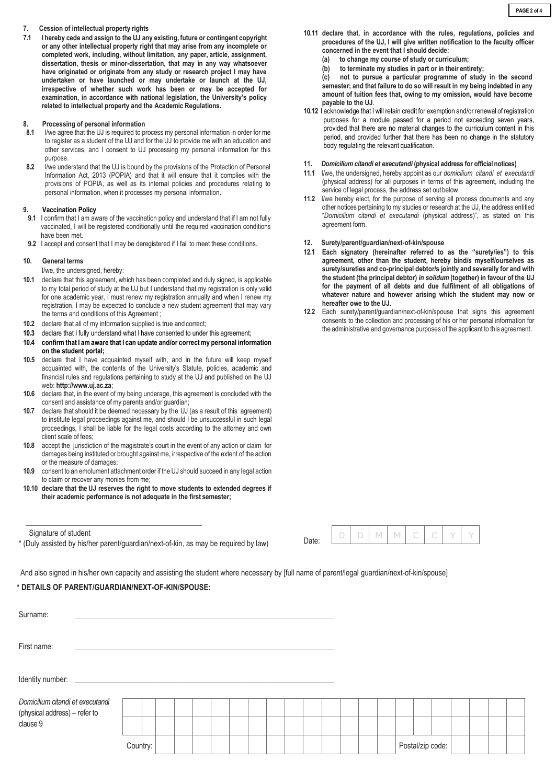#### **7. Cession of intellectual property rights**

**7.1 I hereby cede and assign to the UJ any existing, future or contingent copyright or any other intellectual property right that may arise from any incomplete or completed work, including, without limitation, any paper, article, assignment, dissertation, thesis or minor-dissertation, that may in any way whatsoever have originated or originate from any study or research project I may have undertaken or have launched or may undertake or launch at the UJ, irrespective of whether such work has been or may be accepted for examination, in accordance with national legislation, the University's policy related to intellectual property and the Academic Regulations.**

#### **8. Processing of personal information**

- **8.1** I/we agree that the UJ is required to process my personal information in order for me to register as a student of the UJ and for the UJ to provide me with an education and other services, and I consent to UJ processing my personal information for this purpose.
- **8.2** I/we understand that the UJ is bound by the provisions of the Protection of Personal Information Act, 2013 (POPIA) and that it will ensure that it complies with the provisions of POPIA, as well as its internal policies and procedures relating to personal information, when it processes my personal information.

#### **9. Vaccination Policy**

- **9.1** I confirm that I am aware of the vaccination policy and understand that if I am not fully vaccinated, I will be registered conditionally until the required vaccination conditions have been met.
- **9.2** I accept and consent that I may be deregistered if I fail to meet these conditions.

#### **10. General terms**

- I/we, the undersigned, hereby:
- **10.1** declare that this agreement, which has been completed and duly signed, is applicable to my total period of study at the UJ but I understand that my registration is only valid for one academic year, I must renew my registration annually and when I renew my registration, I may be expected to conclude a new student agreement that may vary the terms and conditions of this Agreement ;
- **10.2** declare that all of my information supplied is true and correct;
- **10.3** declare that I fully understand what I have consented to under this agreement;
- **10.4 confirm that I am aware that I can update and/or correct my personal information on the student portal;**
- **10.5** declare that I have acquainted myself with, and in the future will keep myself acquainted with, the contents of the University's Statute, policies, academic and financial rules and regulations pertaining to study at the UJ and published on the UJ web: **http://www.uj.ac.za**;
- **10.6** declare that, in the event of my being underage, this agreement is concluded with the consent and assistance of my parents and/or guardian;
- **10.7** declare that should it be deemed necessary by the UJ (as a result of this agreement) to institute legal proceedings against me, and should I be unsuccessful in such legal proceedings, I shall be liable for the legal costs according to the attorney and own client scale of fees;
- **10.8** accept the jurisdiction of the magistrate's court in the event of any action or claim for damages being instituted or brought against me, irrespective of the extent of the action or the measure of damages;
- **10.9** consent to an emolument attachment order if the UJ should succeed in any legal action to claim or recover any monies from me;
- **10.10 declare that the UJ reserves the right to move students to extended degrees if their academic performance is not adequate in the first semester;**

Signature of student

\* (Duly assisted by his/her parent/guardian/next-of-kin, as may be required by law)

And also signed in his/her own capacity and assisting the student where necessary by [full name of parent/legal guardian/next-of-kin/spouse]

### **\* DETAILS OF PARENT/GUARDIAN/NEXT-OF-KIN/SPOUSE:**

| Surname:                                                                      |          |  |  |  |  |  |  |  |  |  |  |  |                  |  |  |  |
|-------------------------------------------------------------------------------|----------|--|--|--|--|--|--|--|--|--|--|--|------------------|--|--|--|
| First name:                                                                   |          |  |  |  |  |  |  |  |  |  |  |  |                  |  |  |  |
|                                                                               |          |  |  |  |  |  |  |  |  |  |  |  |                  |  |  |  |
| Domicilium citandi et executandi<br>(physical address) – refer to<br>clause 9 |          |  |  |  |  |  |  |  |  |  |  |  |                  |  |  |  |
|                                                                               |          |  |  |  |  |  |  |  |  |  |  |  |                  |  |  |  |
|                                                                               | Country: |  |  |  |  |  |  |  |  |  |  |  | Postal/zip code: |  |  |  |

- **10.11 declare that, in accordance with the rules, regulations, policies and procedures of the UJ, I will give written notification to the faculty officer concerned in the event that I should decide:**
	- **(a) to change my course of study or curriculum;**
	- **(b) to terminate my studies in part or in their entirety;**

**(c) not to pursue a particular programme of study in the second semester; and that failure to do so will result in my being indebted in any amount of tuition fees that, owing to my omission, would have become payable to the UJ**.

**10.12** I acknowledge that I will retain credit for exemption and/or renewal of registration purposes for a module passed for a period not exceeding seven years, provided that there are no material changes to the curriculum content in this period, and provided further that there has been no change in the statutory body regulating the relevant qualification.

#### **11.** *Domicilium citandi et executandi* **(physical address for official notices)**

- **11.1** I/we, the undersigned, hereby appoint as our *domicilium citandi et executandi*  (physical address) for all purposes in terms of this agreement, including the service of legal process, the address set outbelow.
- **11.2** I/we hereby elect, for the purpose of serving all process documents and any other notices pertaining to my studies or research at the UJ, the address entitled "*Domicilium citandi et executandi* (physical address)", as stated on this agreement form.

### **12. Surety/parent/guardian/next-of-kin/spouse**

- **12.1 Each signatory (hereinafter referred to as the "surety/ies") to this agreement, other than the student, hereby bind/s myself/ourselves as surety/sureties and co-principal debtor/s jointly and severally for and with the student (the principal debtor)** *in solidum* **(together) in favour of the UJ for the payment of all debts and due fulfilment of all obligations of whatever nature and however arising which the student may now or hereafter owe to the UJ.**
- **12.2** Each surety/parent/guardian/next-of-kin/spouse that signs this agreement consents to the collection and processing of his or her personal information for the administrative and governance purposes of the applicant to this agreement.

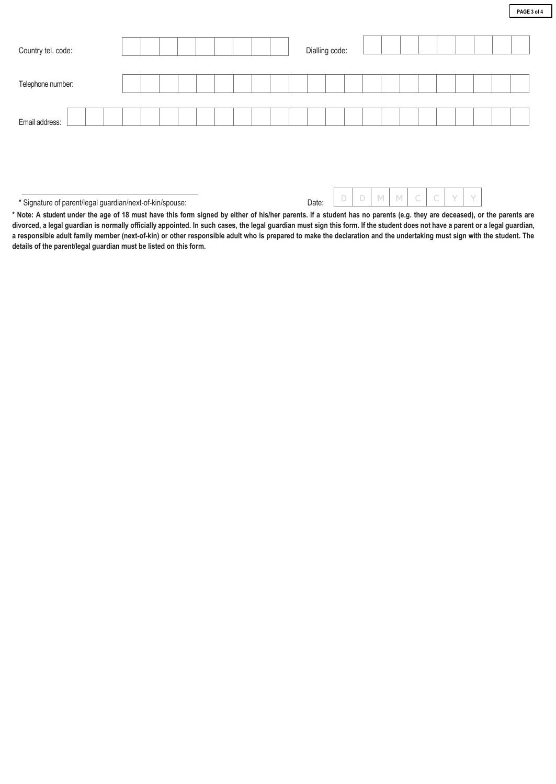| Country tel. code: |  |  |  |  |  | Dialling code: |  |  |  |  |  |  |
|--------------------|--|--|--|--|--|----------------|--|--|--|--|--|--|
| Telephone number:  |  |  |  |  |  |                |  |  |  |  |  |  |
| Email address:     |  |  |  |  |  |                |  |  |  |  |  |  |

\* Signature of parent/legal guardian/next-of-kin/spouse: Date:

**\* Note: A student under the age of 18 must have this form signed by either of his/her parents. If a student has no parents (e.g. they are deceased), or the parents are**  divorced, a legal guardian is normally officially appointed. In such cases, the legal guardian must sign this form. If the student does not have a parent or a legal guardian, **a responsible adult family member (next-of-kin) or other responsible adult who is prepared to make the declaration and the undertaking must sign with the student. The details of the parent/legal guardian must be listed on this form.**

D D M M C C Y Y